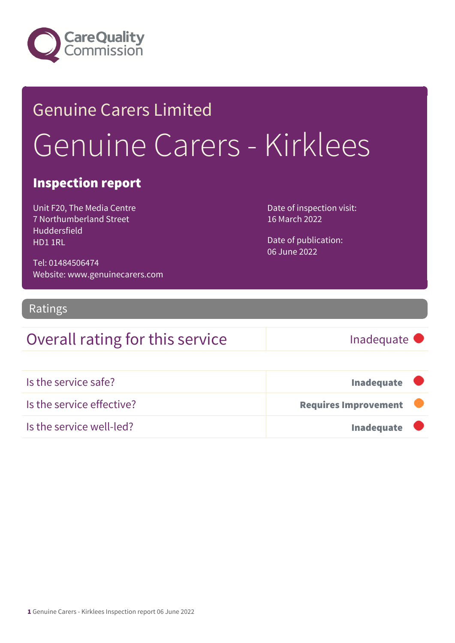

## Genuine Carers Limited Genuine Carers - Kirklees

#### Inspection report

Unit F20, The Media Centre 7 Northumberland Street Huddersfield HD1 1RL

Date of inspection visit: 16 March 2022

Date of publication: 06 June 2022

Tel: 01484506474 Website: www.genuinecarers.com

#### Ratings

### Overall rating for this service Inadequate

| Is the service safe?      | <b>Inadequate</b>           |  |
|---------------------------|-----------------------------|--|
| Is the service effective? | <b>Requires Improvement</b> |  |
| Is the service well-led?  | <b>Inadequate</b>           |  |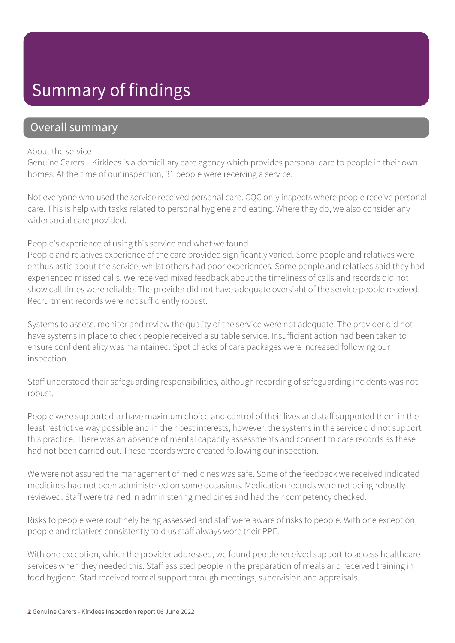### Summary of findings

#### Overall summary

#### About the service

Genuine Carers – Kirklees is a domiciliary care agency which provides personal care to people in their own homes. At the time of our inspection, 31 people were receiving a service.

Not everyone who used the service received personal care. CQC only inspects where people receive personal care. This is help with tasks related to personal hygiene and eating. Where they do, we also consider any wider social care provided.

#### People's experience of using this service and what we found

People and relatives experience of the care provided significantly varied. Some people and relatives were enthusiastic about the service, whilst others had poor experiences. Some people and relatives said they had experienced missed calls. We received mixed feedback about the timeliness of calls and records did not show call times were reliable. The provider did not have adequate oversight of the service people received. Recruitment records were not sufficiently robust.

Systems to assess, monitor and review the quality of the service were not adequate. The provider did not have systems in place to check people received a suitable service. Insufficient action had been taken to ensure confidentiality was maintained. Spot checks of care packages were increased following our inspection.

Staff understood their safeguarding responsibilities, although recording of safeguarding incidents was not robust.

People were supported to have maximum choice and control of their lives and staff supported them in the least restrictive way possible and in their best interests; however, the systems in the service did not support this practice. There was an absence of mental capacity assessments and consent to care records as these had not been carried out. These records were created following our inspection.

We were not assured the management of medicines was safe. Some of the feedback we received indicated medicines had not been administered on some occasions. Medication records were not being robustly reviewed. Staff were trained in administering medicines and had their competency checked.

Risks to people were routinely being assessed and staff were aware of risks to people. With one exception, people and relatives consistently told us staff always wore their PPE.

With one exception, which the provider addressed, we found people received support to access healthcare services when they needed this. Staff assisted people in the preparation of meals and received training in food hygiene. Staff received formal support through meetings, supervision and appraisals.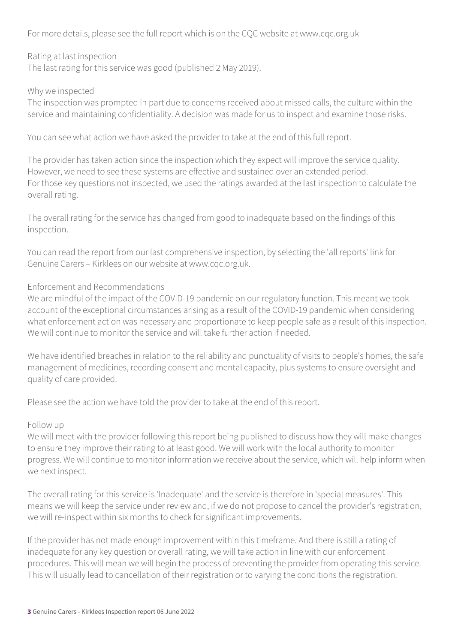For more details, please see the full report which is on the CQC website at www.cqc.org.uk

Rating at last inspection The last rating for this service was good (published 2 May 2019).

#### Why we inspected

The inspection was prompted in part due to concerns received about missed calls, the culture within the service and maintaining confidentiality. A decision was made for us to inspect and examine those risks.

You can see what action we have asked the provider to take at the end of this full report.

The provider has taken action since the inspection which they expect will improve the service quality. However, we need to see these systems are effective and sustained over an extended period. For those key questions not inspected, we used the ratings awarded at the last inspection to calculate the overall rating.

The overall rating for the service has changed from good to inadequate based on the findings of this inspection.

You can read the report from our last comprehensive inspection, by selecting the 'all reports' link for Genuine Carers – Kirklees on our website at www.cqc.org.uk.

#### Enforcement and Recommendations

We are mindful of the impact of the COVID-19 pandemic on our regulatory function. This meant we took account of the exceptional circumstances arising as a result of the COVID-19 pandemic when considering what enforcement action was necessary and proportionate to keep people safe as a result of this inspection. We will continue to monitor the service and will take further action if needed.

We have identified breaches in relation to the reliability and punctuality of visits to people's homes, the safe management of medicines, recording consent and mental capacity, plus systems to ensure oversight and quality of care provided.

Please see the action we have told the provider to take at the end of this report.

#### Follow up

We will meet with the provider following this report being published to discuss how they will make changes to ensure they improve their rating to at least good. We will work with the local authority to monitor progress. We will continue to monitor information we receive about the service, which will help inform when we next inspect.

The overall rating for this service is 'Inadequate' and the service is therefore in 'special measures'. This means we will keep the service under review and, if we do not propose to cancel the provider's registration, we will re-inspect within six months to check for significant improvements.

If the provider has not made enough improvement within this timeframe. And there is still a rating of inadequate for any key question or overall rating, we will take action in line with our enforcement procedures. This will mean we will begin the process of preventing the provider from operating this service. This will usually lead to cancellation of their registration or to varying the conditions the registration.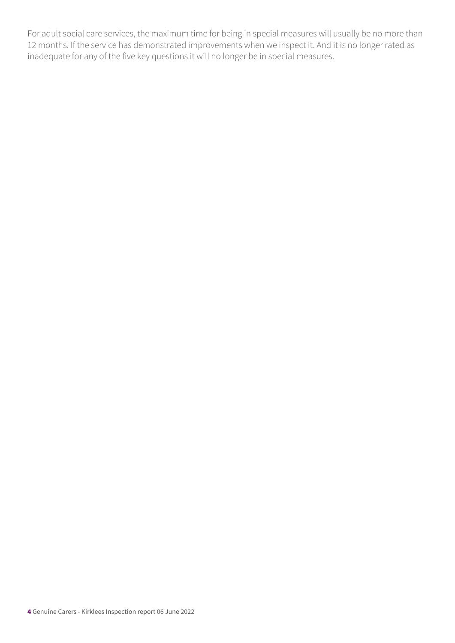For adult social care services, the maximum time for being in special measures will usually be no more than 12 months. If the service has demonstrated improvements when we inspect it. And it is no longer rated as inadequate for any of the five key questions it will no longer be in special measures.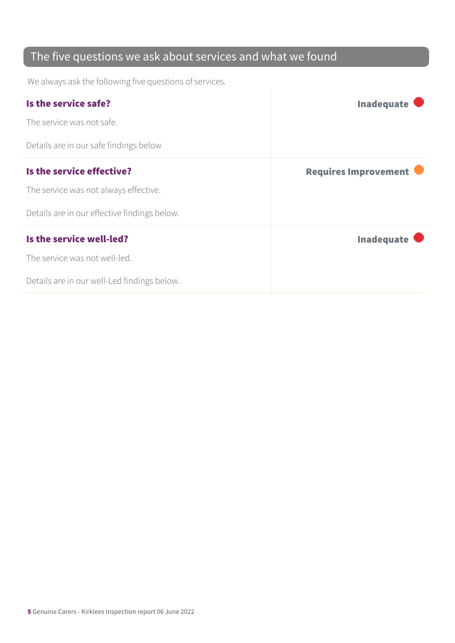### The five questions we ask about services and what we found

We always ask the following five questions of services.

| Is the service safe?                         | <b>Inadequate</b>           |
|----------------------------------------------|-----------------------------|
| The service was not safe.                    |                             |
| Details are in our safe findings below       |                             |
| Is the service effective?                    | <b>Requires Improvement</b> |
| The service was not always effective.        |                             |
| Details are in our effective findings below. |                             |
| Is the service well-led?                     | <b>Inadequate</b>           |
| The service was not well-led.                |                             |
| Details are in our well-Led findings below.  |                             |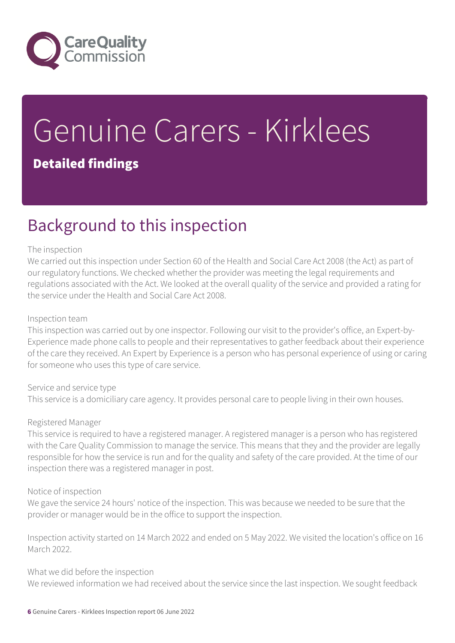

# Genuine Carers - Kirklees

### Detailed findings

### Background to this inspection

#### The inspection

We carried out this inspection under Section 60 of the Health and Social Care Act 2008 (the Act) as part of our regulatory functions. We checked whether the provider was meeting the legal requirements and regulations associated with the Act. We looked at the overall quality of the service and provided a rating for the service under the Health and Social Care Act 2008.

#### Inspection team

This inspection was carried out by one inspector. Following our visit to the provider's office, an Expert-by-Experience made phone calls to people and their representatives to gather feedback about their experience of the care they received. An Expert by Experience is a person who has personal experience of using or caring for someone who uses this type of care service.

Service and service type This service is a domiciliary care agency. It provides personal care to people living in their own houses.

#### Registered Manager

This service is required to have a registered manager. A registered manager is a person who has registered with the Care Quality Commission to manage the service. This means that they and the provider are legally responsible for how the service is run and for the quality and safety of the care provided. At the time of our inspection there was a registered manager in post.

#### Notice of inspection

We gave the service 24 hours' notice of the inspection. This was because we needed to be sure that the provider or manager would be in the office to support the inspection.

Inspection activity started on 14 March 2022 and ended on 5 May 2022. We visited the location's office on 16 March 2022.

What we did before the inspection

We reviewed information we had received about the service since the last inspection. We sought feedback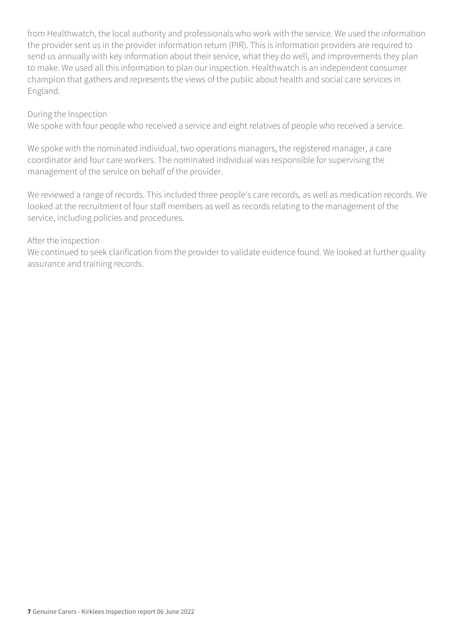from Healthwatch, the local authority and professionals who work with the service. We used the information the provider sent us in the provider information return (PIR). This is information providers are required to send us annually with key information about their service, what they do well, and improvements they plan to make. We used all this information to plan our inspection. Healthwatch is an independent consumer champion that gathers and represents the views of the public about health and social care services in England.

#### During the Inspection

We spoke with four people who received a service and eight relatives of people who received a service.

We spoke with the nominated individual, two operations managers, the registered manager, a care coordinator and four care workers. The nominated individual was responsible for supervising the management of the service on behalf of the provider.

We reviewed a range of records. This included three people's care records, as well as medication records. We looked at the recruitment of four staff members as well as records relating to the management of the service, including policies and procedures.

#### After the inspection

We continued to seek clarification from the provider to validate evidence found. We looked at further quality assurance and training records.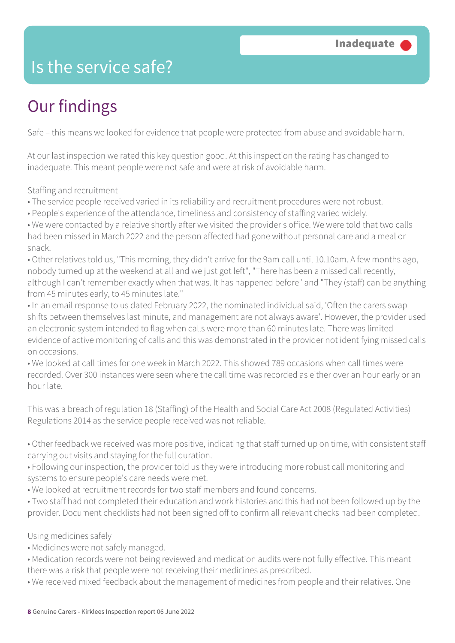### Is the service safe?

### Our findings

Safe – this means we looked for evidence that people were protected from abuse and avoidable harm.

At our last inspection we rated this key question good. At this inspection the rating has changed to inadequate. This meant people were not safe and were at risk of avoidable harm.

Staffing and recruitment

• The service people received varied in its reliability and recruitment procedures were not robust.

• People's experience of the attendance, timeliness and consistency of staffing varied widely.

• We were contacted by a relative shortly after we visited the provider's office. We were told that two calls had been missed in March 2022 and the person affected had gone without personal care and a meal or snack.

• Other relatives told us, "This morning, they didn't arrive for the 9am call until 10.10am. A few months ago, nobody turned up at the weekend at all and we just got left", "There has been a missed call recently, although I can't remember exactly when that was. It has happened before" and "They (staff) can be anything from 45 minutes early, to 45 minutes late."

• In an email response to us dated February 2022, the nominated individual said, 'Often the carers swap shifts between themselves last minute, and management are not always aware'. However, the provider used an electronic system intended to flag when calls were more than 60 minutes late. There was limited evidence of active monitoring of calls and this was demonstrated in the provider not identifying missed calls on occasions.

• We looked at call times for one week in March 2022. This showed 789 occasions when call times were recorded. Over 300 instances were seen where the call time was recorded as either over an hour early or an hour late.

This was a breach of regulation 18 (Staffing) of the Health and Social Care Act 2008 (Regulated Activities) Regulations 2014 as the service people received was not reliable.

• Other feedback we received was more positive, indicating that staff turned up on time, with consistent staff carrying out visits and staying for the full duration.

• Following our inspection, the provider told us they were introducing more robust call monitoring and systems to ensure people's care needs were met.

• We looked at recruitment records for two staff members and found concerns.

• Two staff had not completed their education and work histories and this had not been followed up by the provider. Document checklists had not been signed off to confirm all relevant checks had been completed.

Using medicines safely

• Medicines were not safely managed.

• Medication records were not being reviewed and medication audits were not fully effective. This meant there was a risk that people were not receiving their medicines as prescribed.

• We received mixed feedback about the management of medicines from people and their relatives. One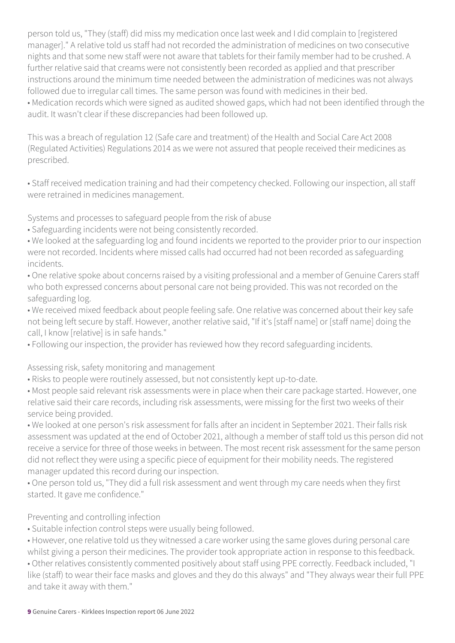person told us, "They (staff) did miss my medication once last week and I did complain to [registered manager]." A relative told us staff had not recorded the administration of medicines on two consecutive nights and that some new staff were not aware that tablets for their family member had to be crushed. A further relative said that creams were not consistently been recorded as applied and that prescriber instructions around the minimum time needed between the administration of medicines was not always followed due to irregular call times. The same person was found with medicines in their bed. • Medication records which were signed as audited showed gaps, which had not been identified through the audit. It wasn't clear if these discrepancies had been followed up.

This was a breach of regulation 12 (Safe care and treatment) of the Health and Social Care Act 2008 (Regulated Activities) Regulations 2014 as we were not assured that people received their medicines as prescribed.

• Staff received medication training and had their competency checked. Following our inspection, all staff were retrained in medicines management.

Systems and processes to safeguard people from the risk of abuse

- Safeguarding incidents were not being consistently recorded.
- We looked at the safeguarding log and found incidents we reported to the provider prior to our inspection were not recorded. Incidents where missed calls had occurred had not been recorded as safeguarding incidents.
- One relative spoke about concerns raised by a visiting professional and a member of Genuine Carers staff who both expressed concerns about personal care not being provided. This was not recorded on the safeguarding log.
- We received mixed feedback about people feeling safe. One relative was concerned about their key safe not being left secure by staff. However, another relative said, "If it's [staff name] or [staff name] doing the call, I know [relative] is in safe hands."
- Following our inspection, the provider has reviewed how they record safeguarding incidents.

Assessing risk, safety monitoring and management

- Risks to people were routinely assessed, but not consistently kept up-to-date.
- Most people said relevant risk assessments were in place when their care package started. However, one relative said their care records, including risk assessments, were missing for the first two weeks of their service being provided.
- We looked at one person's risk assessment for falls after an incident in September 2021. Their falls risk assessment was updated at the end of October 2021, although a member of staff told us this person did not receive a service for three of those weeks in between. The most recent risk assessment for the same person did not reflect they were using a specific piece of equipment for their mobility needs. The registered manager updated this record during our inspection.
- One person told us, "They did a full risk assessment and went through my care needs when they first started. It gave me confidence."

#### Preventing and controlling infection

- Suitable infection control steps were usually being followed.
- However, one relative told us they witnessed a care worker using the same gloves during personal care whilst giving a person their medicines. The provider took appropriate action in response to this feedback.
- Other relatives consistently commented positively about staff using PPE correctly. Feedback included, "I like (staff) to wear their face masks and gloves and they do this always" and "They always wear their full PPE and take it away with them."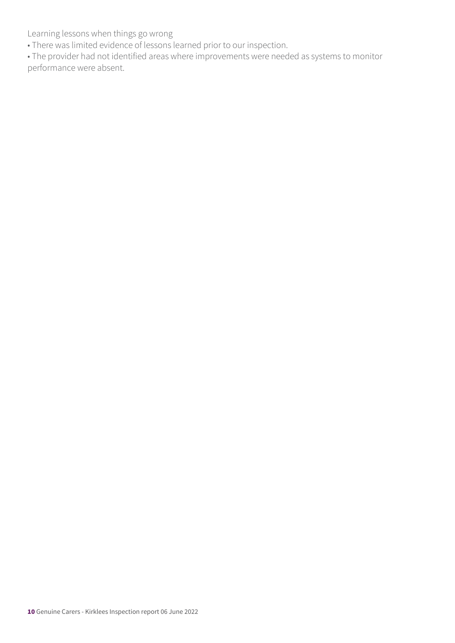Learning lessons when things go wrong

• There was limited evidence of lessons learned prior to our inspection.

• The provider had not identified areas where improvements were needed as systems to monitor performance were absent.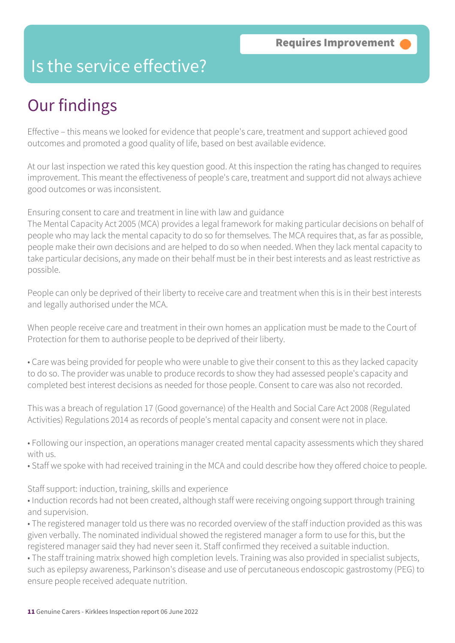### Is the service effective?

### Our findings

Effective – this means we looked for evidence that people's care, treatment and support achieved good outcomes and promoted a good quality of life, based on best available evidence.

At our last inspection we rated this key question good. At this inspection the rating has changed to requires improvement. This meant the effectiveness of people's care, treatment and support did not always achieve good outcomes or was inconsistent.

Ensuring consent to care and treatment in line with law and guidance

The Mental Capacity Act 2005 (MCA) provides a legal framework for making particular decisions on behalf of people who may lack the mental capacity to do so for themselves. The MCA requires that, as far as possible, people make their own decisions and are helped to do so when needed. When they lack mental capacity to take particular decisions, any made on their behalf must be in their best interests and as least restrictive as possible.

People can only be deprived of their liberty to receive care and treatment when this is in their best interests and legally authorised under the MCA.

When people receive care and treatment in their own homes an application must be made to the Court of Protection for them to authorise people to be deprived of their liberty.

• Care was being provided for people who were unable to give their consent to this as they lacked capacity to do so. The provider was unable to produce records to show they had assessed people's capacity and completed best interest decisions as needed for those people. Consent to care was also not recorded.

This was a breach of regulation 17 (Good governance) of the Health and Social Care Act 2008 (Regulated Activities) Regulations 2014 as records of people's mental capacity and consent were not in place.

• Following our inspection, an operations manager created mental capacity assessments which they shared with us.

• Staff we spoke with had received training in the MCA and could describe how they offered choice to people.

Staff support: induction, training, skills and experience

• Induction records had not been created, although staff were receiving ongoing support through training and supervision.

• The registered manager told us there was no recorded overview of the staff induction provided as this was given verbally. The nominated individual showed the registered manager a form to use for this, but the registered manager said they had never seen it. Staff confirmed they received a suitable induction.

• The staff training matrix showed high completion levels. Training was also provided in specialist subjects, such as epilepsy awareness, Parkinson's disease and use of percutaneous endoscopic gastrostomy (PEG) to ensure people received adequate nutrition.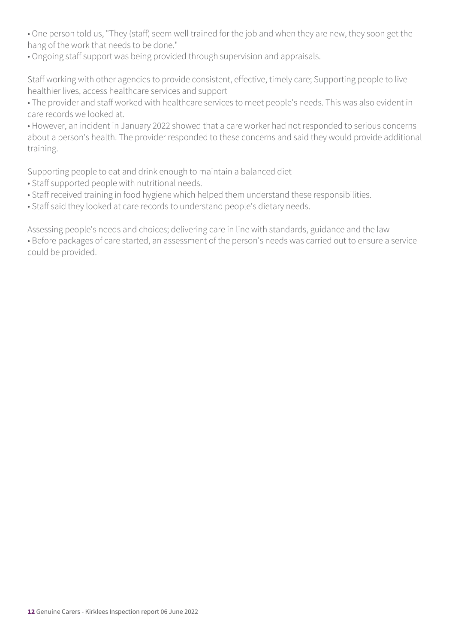• One person told us, "They (staff) seem well trained for the job and when they are new, they soon get the hang of the work that needs to be done."

• Ongoing staff support was being provided through supervision and appraisals.

Staff working with other agencies to provide consistent, effective, timely care; Supporting people to live healthier lives, access healthcare services and support

• The provider and staff worked with healthcare services to meet people's needs. This was also evident in care records we looked at.

• However, an incident in January 2022 showed that a care worker had not responded to serious concerns about a person's health. The provider responded to these concerns and said they would provide additional training.

Supporting people to eat and drink enough to maintain a balanced diet

- Staff supported people with nutritional needs.
- Staff received training in food hygiene which helped them understand these responsibilities.
- Staff said they looked at care records to understand people's dietary needs.

Assessing people's needs and choices; delivering care in line with standards, guidance and the law • Before packages of care started, an assessment of the person's needs was carried out to ensure a service could be provided.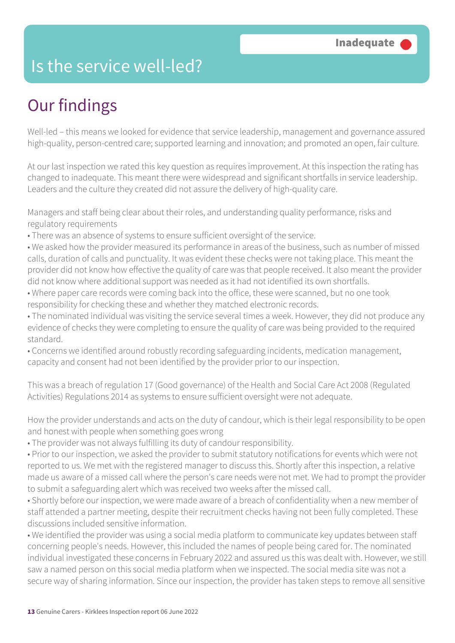### Is the service well-led?

### Our findings

Well-led – this means we looked for evidence that service leadership, management and governance assured high-quality, person-centred care; supported learning and innovation; and promoted an open, fair culture.

At our last inspection we rated this key question as requires improvement. At this inspection the rating has changed to inadequate. This meant there were widespread and significant shortfalls in service leadership. Leaders and the culture they created did not assure the delivery of high-quality care.

Managers and staff being clear about their roles, and understanding quality performance, risks and regulatory requirements

- There was an absence of systems to ensure sufficient oversight of the service.
- We asked how the provider measured its performance in areas of the business, such as number of missed calls, duration of calls and punctuality. It was evident these checks were not taking place. This meant the provider did not know how effective the quality of care was that people received. It also meant the provider did not know where additional support was needed as it had not identified its own shortfalls.
- Where paper care records were coming back into the office, these were scanned, but no one took responsibility for checking these and whether they matched electronic records.
- The nominated individual was visiting the service several times a week. However, they did not produce any evidence of checks they were completing to ensure the quality of care was being provided to the required standard.
- Concerns we identified around robustly recording safeguarding incidents, medication management, capacity and consent had not been identified by the provider prior to our inspection.

This was a breach of regulation 17 (Good governance) of the Health and Social Care Act 2008 (Regulated Activities) Regulations 2014 as systems to ensure sufficient oversight were not adequate.

How the provider understands and acts on the duty of candour, which is their legal responsibility to be open and honest with people when something goes wrong

• The provider was not always fulfilling its duty of candour responsibility.

• Prior to our inspection, we asked the provider to submit statutory notifications for events which were not reported to us. We met with the registered manager to discuss this. Shortly after this inspection, a relative made us aware of a missed call where the person's care needs were not met. We had to prompt the provider to submit a safeguarding alert which was received two weeks after the missed call.

• Shortly before our inspection, we were made aware of a breach of confidentiality when a new member of staff attended a partner meeting, despite their recruitment checks having not been fully completed. These discussions included sensitive information.

• We identified the provider was using a social media platform to communicate key updates between staff concerning people's needs. However, this included the names of people being cared for. The nominated individual investigated these concerns in February 2022 and assured us this was dealt with. However, we still saw a named person on this social media platform when we inspected. The social media site was not a secure way of sharing information. Since our inspection, the provider has taken steps to remove all sensitive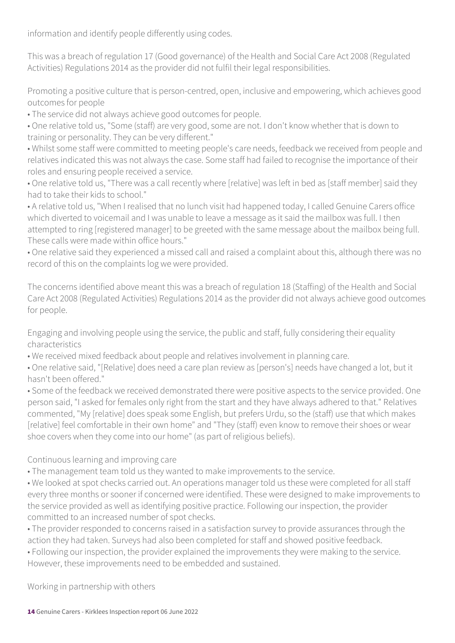information and identify people differently using codes.

This was a breach of regulation 17 (Good governance) of the Health and Social Care Act 2008 (Regulated Activities) Regulations 2014 as the provider did not fulfil their legal responsibilities.

Promoting a positive culture that is person-centred, open, inclusive and empowering, which achieves good outcomes for people

• The service did not always achieve good outcomes for people.

• One relative told us, "Some (staff) are very good, some are not. I don't know whether that is down to training or personality. They can be very different."

• Whilst some staff were committed to meeting people's care needs, feedback we received from people and relatives indicated this was not always the case. Some staff had failed to recognise the importance of their roles and ensuring people received a service.

• One relative told us, "There was a call recently where [relative] was left in bed as [staff member] said they had to take their kids to school."

• A relative told us, "When I realised that no lunch visit had happened today, I called Genuine Carers office which diverted to voicemail and I was unable to leave a message as it said the mailbox was full. I then attempted to ring [registered manager] to be greeted with the same message about the mailbox being full. These calls were made within office hours."

• One relative said they experienced a missed call and raised a complaint about this, although there was no record of this on the complaints log we were provided.

The concerns identified above meant this was a breach of regulation 18 (Staffing) of the Health and Social Care Act 2008 (Regulated Activities) Regulations 2014 as the provider did not always achieve good outcomes for people.

Engaging and involving people using the service, the public and staff, fully considering their equality characteristics

• We received mixed feedback about people and relatives involvement in planning care.

• One relative said, "[Relative] does need a care plan review as [person's] needs have changed a lot, but it hasn't been offered."

• Some of the feedback we received demonstrated there were positive aspects to the service provided. One person said, "I asked for females only right from the start and they have always adhered to that." Relatives commented, "My [relative] does speak some English, but prefers Urdu, so the (staff) use that which makes [relative] feel comfortable in their own home" and "They (staff) even know to remove their shoes or wear shoe covers when they come into our home" (as part of religious beliefs).

Continuous learning and improving care

• The management team told us they wanted to make improvements to the service.

• We looked at spot checks carried out. An operations manager told us these were completed for all staff every three months or sooner if concerned were identified. These were designed to make improvements to the service provided as well as identifying positive practice. Following our inspection, the provider committed to an increased number of spot checks.

• The provider responded to concerns raised in a satisfaction survey to provide assurances through the action they had taken. Surveys had also been completed for staff and showed positive feedback.

• Following our inspection, the provider explained the improvements they were making to the service. However, these improvements need to be embedded and sustained.

Working in partnership with others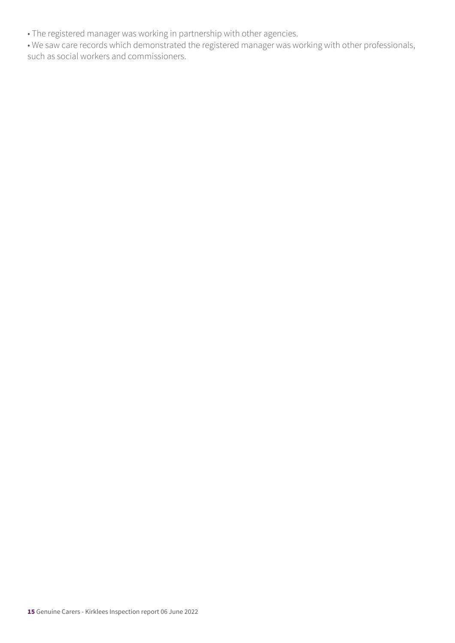• The registered manager was working in partnership with other agencies.

• We saw care records which demonstrated the registered manager was working with other professionals, such as social workers and commissioners.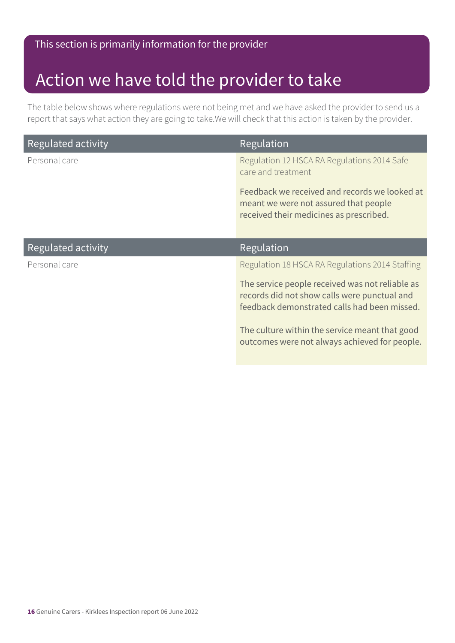#### This section is primarily information for the provider

### Action we have told the provider to take

The table below shows where regulations were not being met and we have asked the provider to send us a report that says what action they are going to take.We will check that this action is taken by the provider.

| Regulated activity | Regulation                                                                                                                                      |
|--------------------|-------------------------------------------------------------------------------------------------------------------------------------------------|
| Personal care      | Regulation 12 HSCA RA Regulations 2014 Safe<br>care and treatment                                                                               |
|                    | Feedback we received and records we looked at<br>meant we were not assured that people<br>received their medicines as prescribed.               |
| Regulated activity | Regulation                                                                                                                                      |
| Personal care      | Regulation 18 HSCA RA Regulations 2014 Staffing                                                                                                 |
|                    | The service people received was not reliable as<br>records did not show calls were punctual and<br>feedback demonstrated calls had been missed. |
|                    | The culture within the service meant that good<br>outcomes were not always achieved for people.                                                 |